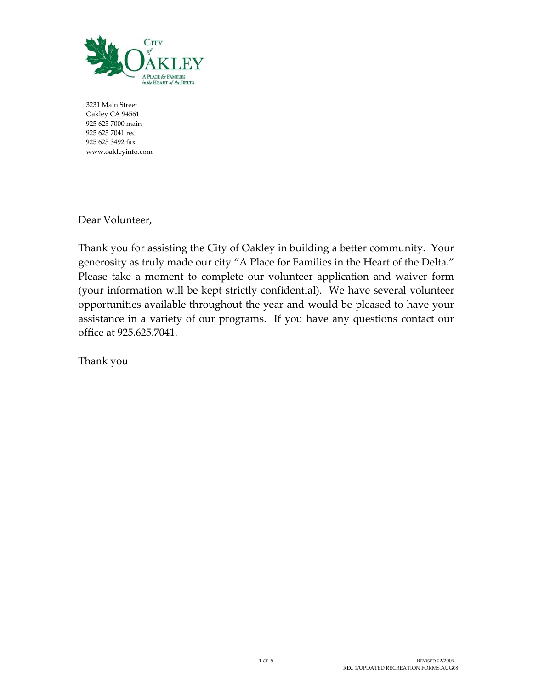

 Main Street Oakley CA 94561 625 7000 main 625 7041 rec 625 3492 fax www.oakleyinfo.com

Dear Volunteer,

Thank you for assisting the City of Oakley in building a better community. Your generosity as truly made our city "A Place for Families in the Heart of the Delta." Please take a moment to complete our volunteer application and waiver form (your information will be kept strictly confidential). We have several volunteer opportunities available throughout the year and would be pleased to have your assistance in a variety of our programs. If you have any questions contact our office at 925.625.7041.

Thank you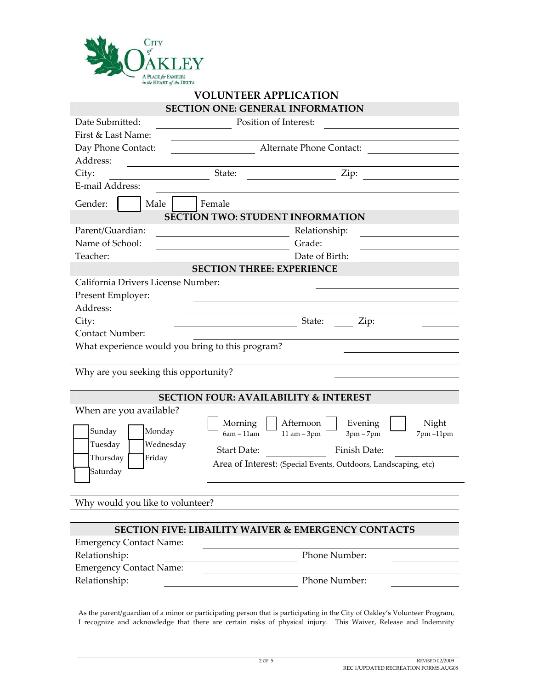

## **VOLUNTEER APPLICATION SECTION ONE: GENERAL INFORMATION**

| Date Submitted:                                  |                    | Position of Interest:                                          |  |  |
|--------------------------------------------------|--------------------|----------------------------------------------------------------|--|--|
| First & Last Name:                               |                    |                                                                |  |  |
| Day Phone Contact:                               |                    | Alternate Phone Contact:                                       |  |  |
| Address:                                         |                    |                                                                |  |  |
| City:                                            | State:             | Zip:                                                           |  |  |
| E-mail Address:                                  |                    |                                                                |  |  |
| Gender:<br>Male                                  | Female             |                                                                |  |  |
| SECTION TWO: STUDENT INFORMATION                 |                    |                                                                |  |  |
| Parent/Guardian:                                 |                    | Relationship:                                                  |  |  |
| Name of School:                                  |                    | Grade:                                                         |  |  |
| Teacher:                                         |                    | Date of Birth:                                                 |  |  |
|                                                  |                    | <b>SECTION THREE: EXPERIENCE</b>                               |  |  |
| California Drivers License Number:               |                    |                                                                |  |  |
| Present Employer:                                |                    |                                                                |  |  |
| Address:                                         |                    |                                                                |  |  |
| City:                                            |                    | State:<br>Zip:                                                 |  |  |
| <b>Contact Number:</b>                           |                    |                                                                |  |  |
| What experience would you bring to this program? |                    |                                                                |  |  |
|                                                  |                    |                                                                |  |  |
| Why are you seeking this opportunity?            |                    |                                                                |  |  |
| <b>SECTION FOUR: AVAILABILITY &amp; INTEREST</b> |                    |                                                                |  |  |
| When are you available?                          |                    |                                                                |  |  |
|                                                  | Morning            | Afternoon<br>Evening<br>Night                                  |  |  |
| Sunday<br>Monday                                 | $6am - 11am$       | $11 am - 3pm$<br>$3pm-7pm$<br>7pm-11pm                         |  |  |
| Wednesday<br>Tuesday                             | <b>Start Date:</b> | Finish Date:                                                   |  |  |
| Thursday<br>Friday                               |                    | Area of Interest: (Special Events, Outdoors, Landscaping, etc) |  |  |
| Saturday                                         |                    |                                                                |  |  |
|                                                  |                    |                                                                |  |  |
| Why would you like to volunteer?                 |                    |                                                                |  |  |
|                                                  |                    |                                                                |  |  |
|                                                  |                    | <b>SECTION FIVE: LIBAILITY WAIVER &amp; EMERGENCY CONTACTS</b> |  |  |
| <b>Emergency Contact Name:</b>                   |                    |                                                                |  |  |
| Relationship:                                    |                    | Phone Number:                                                  |  |  |
| <b>Emergency Contact Name:</b>                   |                    |                                                                |  |  |
| Relationship:                                    |                    | Phone Number:                                                  |  |  |
|                                                  |                    |                                                                |  |  |

As the parent/guardian of a minor or participating person that is participating in the City of Oakley's Volunteer Program, I recognize and acknowledge that there are certain risks of physical injury. This Waiver, Release and Indemnity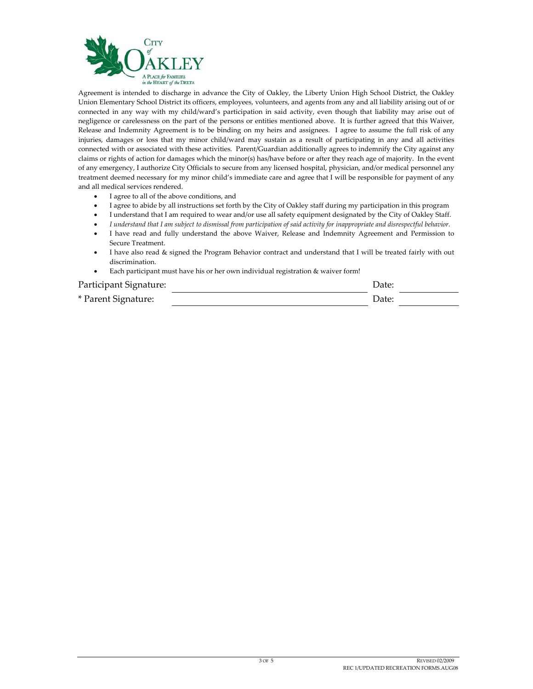

Agreement is intended to discharge in advance the City of Oakley, the Liberty Union High School District, the Oakley Union Elementary School District its officers, employees, volunteers, and agents from any and all liability arising out of or connected in any way with my child/ward's participation in said activity, even though that liability may arise out of negligence or carelessness on the part of the persons or entities mentioned above. It is further agreed that this Waiver, Release and Indemnity Agreement is to be binding on my heirs and assignees. I agree to assume the full risk of any injuries, damages or loss that my minor child/ward may sustain as a result of participating in any and all activities connected with or associated with these activities. Parent/Guardian additionally agrees to indemnify the City against any claims or rights of action for damages which the minor(s) has/have before or after they reach age of majority. In the event of any emergency, I authorize City Officials to secure from any licensed hospital, physician, and/or medical personnel any treatment deemed necessary for my minor child's immediate care and agree that I will be responsible for payment of any and all medical services rendered.

- I agree to all of the above conditions, and
- I agree to abide by all instructions set forth by the City of Oakley staff during my participation in this program
- I understand that I am required to wear and/or use all safety equipment designated by the City of Oakley Staff.
- I understand that I am subject to dismissal from participation of said activity for inappropriate and disrespectful behavior.
- I have read and fully understand the above Waiver, Release and Indemnity Agreement and Permission to Secure Treatment.
- I have also read & signed the Program Behavior contract and understand that I will be treated fairly with out discrimination.
- Each participant must have his or her own individual registration & waiver form!

## Participant Signature: Date: \* Parent Signature: Date: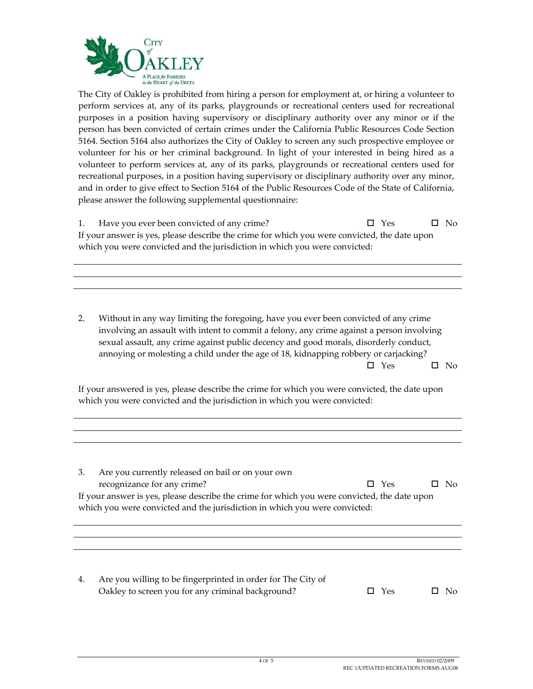

The City of Oakley is prohibited from hiring a person for employment at, or hiring a volunteer to perform services at, any of its parks, playgrounds or recreational centers used for recreational purposes in a position having supervisory or disciplinary authority over any minor or if the person has been convicted of certain crimes under the California Public Resources Code Section 5164. Section 5164 also authorizes the City of Oakley to screen any such prospective employee or volunteer for his or her criminal background. In light of your interested in being hired as a volunteer to perform services at, any of its parks, playgrounds or recreational centers used for recreational purposes, in a position having supervisory or disciplinary authority over any minor, and in order to give effect to Section 5164 of the Public Resources Code of the State of California, please answer the following supplemental questionnaire:

1. Have you ever been convicted of any crime?  $\Box$  Yes  $\Box$  No If your answer is yes, please describe the crime for which you were convicted, the date upon which you were convicted and the jurisdiction in which you were convicted:

2. Without in any way limiting the foregoing, have you ever been convicted of any crime involving an assault with intent to commit a felony, any crime against a person involving sexual assault, any crime against public decency and good morals, disorderly conduct, annoying or molesting a child under the age of 18, kidnapping robbery or carjacking?  $\Box$  Yes  $\Box$  No

If your answered is yes, please describe the crime for which you were convicted, the date upon which you were convicted and the jurisdiction in which you were convicted:

| Are you currently released on bail or on your own<br>3.                                      |            |     |  |
|----------------------------------------------------------------------------------------------|------------|-----|--|
| recognizance for any crime?                                                                  | $\Box$ Yes | No. |  |
| If your answer is yes, please describe the crime for which you were convicted, the date upon |            |     |  |
| which you were convicted and the jurisdiction in which you were convicted:                   |            |     |  |
|                                                                                              |            |     |  |
|                                                                                              |            |     |  |
|                                                                                              |            |     |  |
|                                                                                              |            |     |  |
|                                                                                              |            |     |  |

4. Are you willing to be fingerprinted in order for The City of Oakley to screen you for any criminal background?  $\Box$  Yes  $\Box$  No